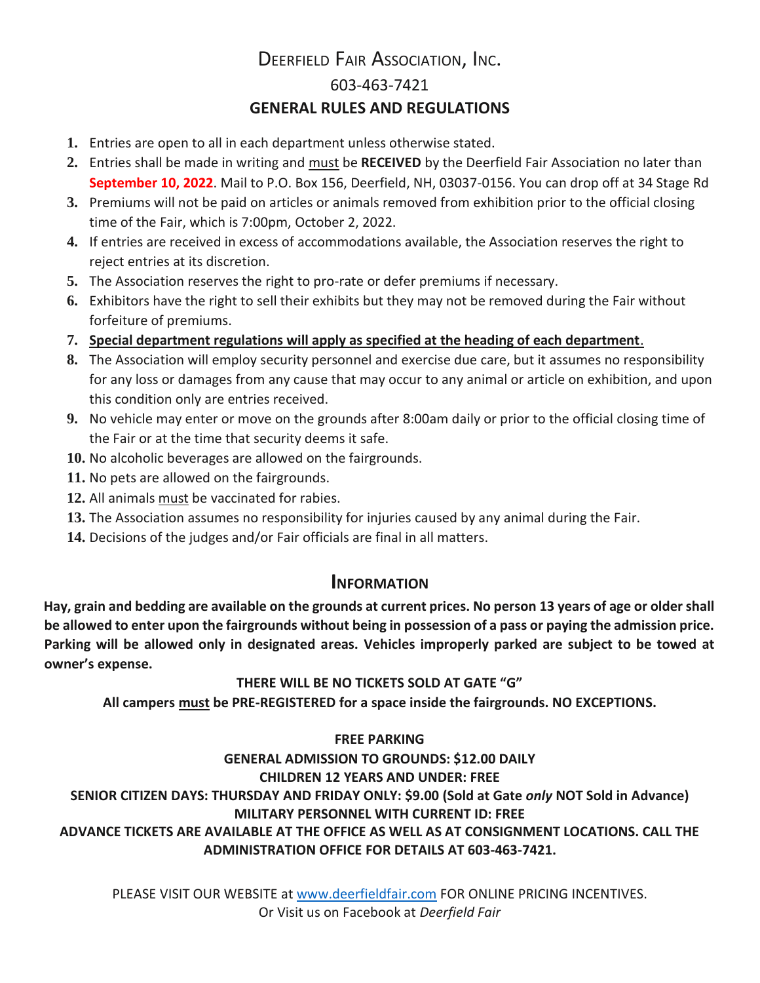## DEERFIELD FAIR ASSOCIATION, INC. 603-463-7421 **GENERAL RULES AND REGULATIONS**

- **1.** Entries are open to all in each department unless otherwise stated.
- **2.** Entries shall be made in writing and must be **RECEIVED** by the Deerfield Fair Association no later than **September 10, 2022**. Mail to P.O. Box 156, Deerfield, NH, 03037-0156. You can drop off at 34 Stage Rd
- **3.** Premiums will not be paid on articles or animals removed from exhibition prior to the official closing time of the Fair, which is 7:00pm, October 2, 2022.
- **4.** If entries are received in excess of accommodations available, the Association reserves the right to reject entries at its discretion.
- **5.** The Association reserves the right to pro-rate or defer premiums if necessary.
- **6.** Exhibitors have the right to sell their exhibits but they may not be removed during the Fair without forfeiture of premiums.
- **7. Special department regulations will apply as specified at the heading of each department**.
- **8.** The Association will employ security personnel and exercise due care, but it assumes no responsibility for any loss or damages from any cause that may occur to any animal or article on exhibition, and upon this condition only are entries received.
- **9.** No vehicle may enter or move on the grounds after 8:00am daily or prior to the official closing time of the Fair or at the time that security deems it safe.
- **10.** No alcoholic beverages are allowed on the fairgrounds.
- **11.** No pets are allowed on the fairgrounds.
- **12.** All animals must be vaccinated for rabies.
- **13.** The Association assumes no responsibility for injuries caused by any animal during the Fair.
- **14.** Decisions of the judges and/or Fair officials are final in all matters.

## **INFORMATION**

**Hay, grain and bedding are available on the grounds at current prices. No person 13 years of age or older shall be allowed to enter upon the fairgrounds without being in possession of a pass or paying the admission price. Parking will be allowed only in designated areas. Vehicles improperly parked are subject to be towed at owner's expense.** 

## **THERE WILL BE NO TICKETS SOLD AT GATE "G"**

**All campers must be PRE-REGISTERED for a space inside the fairgrounds. NO EXCEPTIONS.**

## **FREE PARKING**

## **GENERAL ADMISSION TO GROUNDS: \$12.00 DAILY CHILDREN 12 YEARS AND UNDER: FREE SENIOR CITIZEN DAYS: THURSDAY AND FRIDAY ONLY: \$9.00 (Sold at Gate** *only* **NOT Sold in Advance) MILITARY PERSONNEL WITH CURRENT ID: FREE**

## **ADVANCE TICKETS ARE AVAILABLE AT THE OFFICE AS WELL AS AT CONSIGNMENT LOCATIONS. CALL THE ADMINISTRATION OFFICE FOR DETAILS AT 603-463-7421.**

PLEASE VISIT OUR WEBSITE at [www.deerfieldfair.com](http://www.deerfieldfair.com/) FOR ONLINE PRICING INCENTIVES. Or Visit us on Facebook at *Deerfield Fair*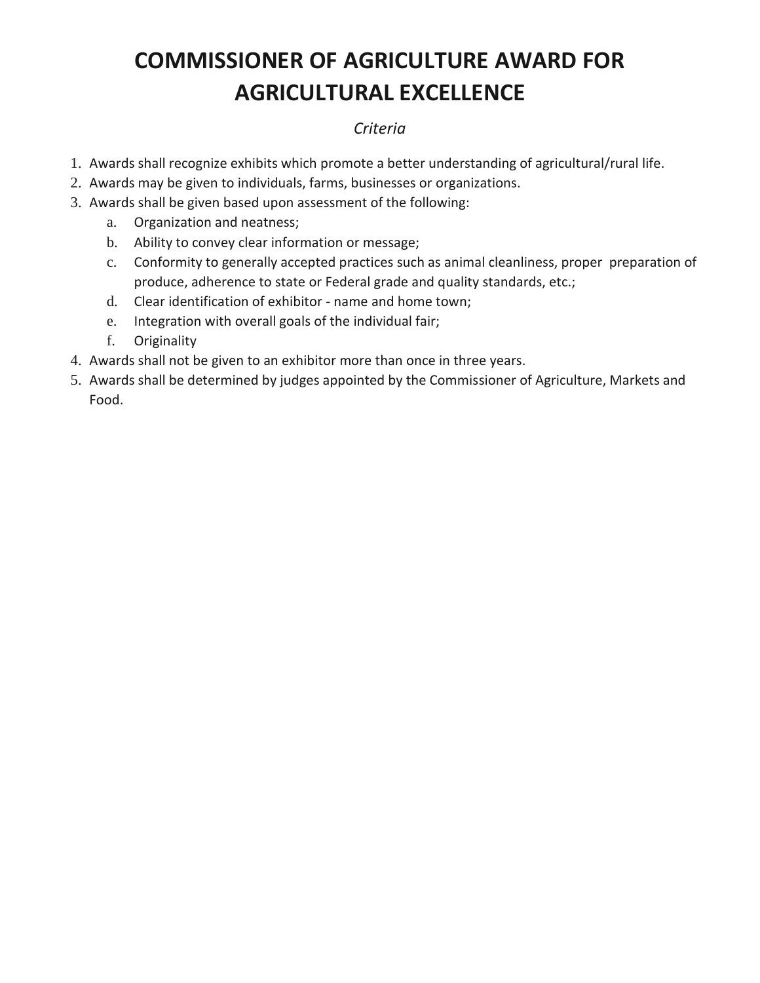# **COMMISSIONER OF AGRICULTURE AWARD FOR AGRICULTURAL EXCELLENCE**

## *Criteria*

- 1. Awards shall recognize exhibits which promote a better understanding of agricultural/rural life.
- 2. Awards may be given to individuals, farms, businesses or organizations.
- 3. Awards shall be given based upon assessment of the following:
	- a. Organization and neatness;
	- b. Ability to convey clear information or message;
	- c. Conformity to generally accepted practices such as animal cleanliness, proper preparation of produce, adherence to state or Federal grade and quality standards, etc.;
	- d. Clear identification of exhibitor name and home town;
	- e. Integration with overall goals of the individual fair;
	- f. Originality
- 4. Awards shall not be given to an exhibitor more than once in three years.
- 5. Awards shall be determined by judges appointed by the Commissioner of Agriculture, Markets and Food.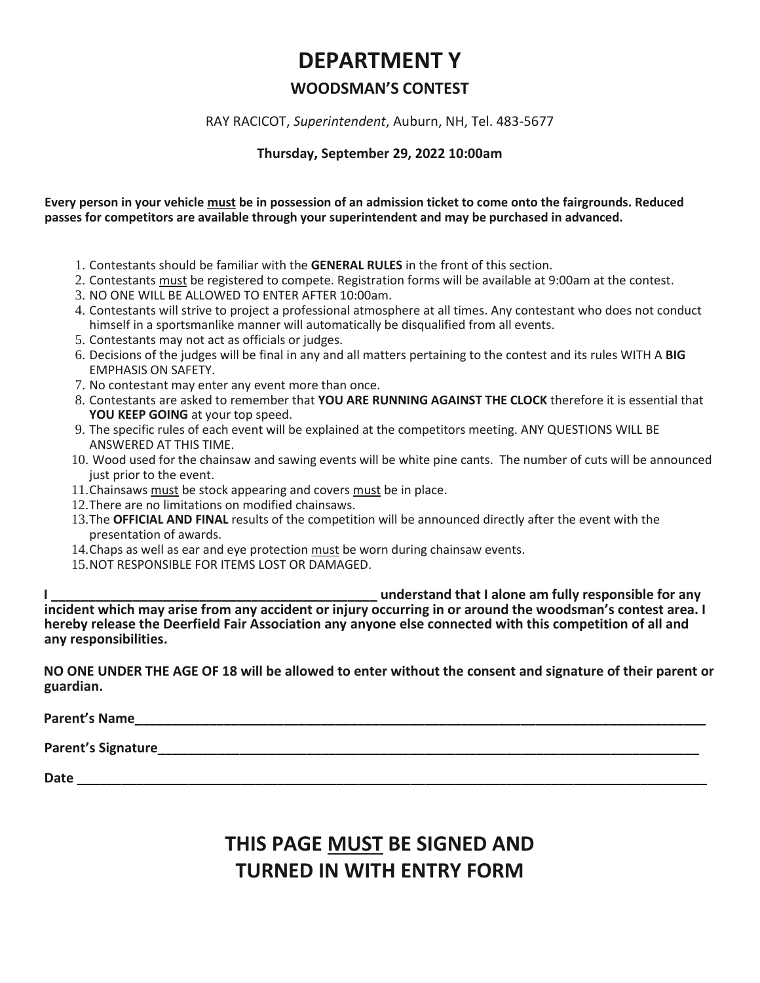## **DEPARTMENT Y**

## **WOODSMAN'S CONTEST**

#### RAY RACICOT, *Superintendent*, Auburn, NH, Tel. 483-5677

#### **Thursday, September 29, 2022 10:00am**

#### **Every person in your vehicle must be in possession of an admission ticket to come onto the fairgrounds. Reduced passes for competitors are available through your superintendent and may be purchased in advanced.**

- 1. Contestants should be familiar with the **GENERAL RULES** in the front of this section.
- 2. Contestants must be registered to compete. Registration forms will be available at 9:00am at the contest.
- 3. NO ONE WILL BE ALLOWED TO ENTER AFTER 10:00am.
- 4. Contestants will strive to project a professional atmosphere at all times. Any contestant who does not conduct himself in a sportsmanlike manner will automatically be disqualified from all events.
- 5. Contestants may not act as officials or judges.
- 6. Decisions of the judges will be final in any and all matters pertaining to the contest and its rules WITH A **BIG** EMPHASIS ON SAFETY.
- 7. No contestant may enter any event more than once.
- 8. Contestants are asked to remember that **YOU ARE RUNNING AGAINST THE CLOCK** therefore it is essential that **YOU KEEP GOING** at your top speed.
- 9. The specific rules of each event will be explained at the competitors meeting. ANY QUESTIONS WILL BE ANSWERED AT THIS TIME.
- 10. Wood used for the chainsaw and sawing events will be white pine cants. The number of cuts will be announced just prior to the event.
- 11. Chainsaws must be stock appearing and covers must be in place.
- 12.There are no limitations on modified chainsaws.
- 13.The **OFFICIAL AND FINAL** results of the competition will be announced directly after the event with the presentation of awards.
- 14.Chaps as well as ear and eye protection must be worn during chainsaw events.
- 15.NOT RESPONSIBLE FOR ITEMS LOST OR DAMAGED.

**I \_\_\_\_\_\_\_\_\_\_\_\_\_\_\_\_\_\_\_\_\_\_\_\_\_\_\_\_\_\_\_\_\_\_\_\_\_\_\_\_\_\_\_\_ understand that I alone am fully responsible for any incident which may arise from any accident or injury occurring in or around the woodsman's contest area. I hereby release the Deerfield Fair Association any anyone else connected with this competition of all and any responsibilities.** 

**NO ONE UNDER THE AGE OF 18 will be allowed to enter without the consent and signature of their parent or guardian.** 

**Parent's Name** 

Parent's Signature

**Date**  $\blacksquare$ 

## **THIS PAGE MUST BE SIGNED AND TURNED IN WITH ENTRY FORM**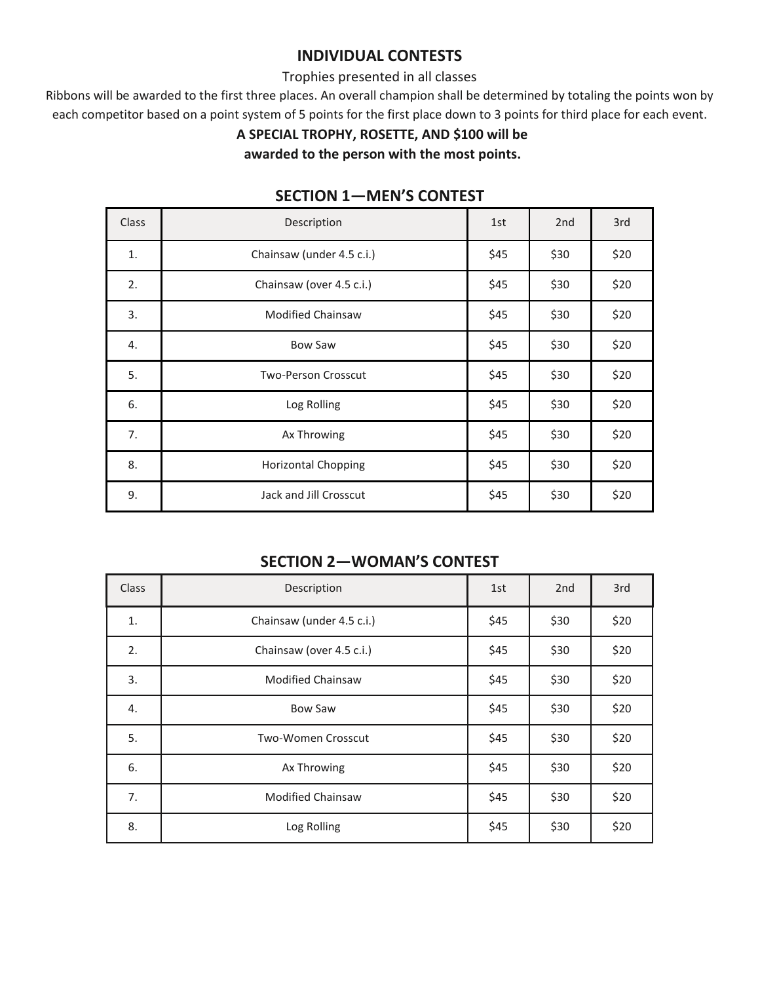## **INDIVIDUAL CONTESTS**

#### Trophies presented in all classes

Ribbons will be awarded to the first three places. An overall champion shall be determined by totaling the points won by each competitor based on a point system of 5 points for the first place down to 3 points for third place for each event.

### **A SPECIAL TROPHY, ROSETTE, AND \$100 will be**

**awarded to the person with the most points.**

| Class | Description                | 1st  | 2 <sub>nd</sub> | 3rd  |
|-------|----------------------------|------|-----------------|------|
| 1.    | Chainsaw (under 4.5 c.i.)  | \$45 | \$30            | \$20 |
| 2.    | Chainsaw (over 4.5 c.i.)   | \$45 | \$30            | \$20 |
| 3.    | <b>Modified Chainsaw</b>   | \$45 | \$30            | \$20 |
| 4.    | <b>Bow Saw</b>             | \$45 | \$30            | \$20 |
| 5.    | <b>Two-Person Crosscut</b> | \$45 | \$30            | \$20 |
| 6.    | Log Rolling                | \$45 | \$30            | \$20 |
| 7.    | Ax Throwing                | \$45 | \$30            | \$20 |
| 8.    | <b>Horizontal Chopping</b> | \$45 | \$30            | \$20 |
| 9.    | Jack and Jill Crosscut     | \$45 | \$30            | \$20 |

### **SECTION 1—MEN'S CONTEST**

## **SECTION 2—WOMAN'S CONTEST**

| <b>Class</b> | Description               | 1st  | 2 <sub>nd</sub> | 3rd  |
|--------------|---------------------------|------|-----------------|------|
| 1.           | Chainsaw (under 4.5 c.i.) | \$45 | \$30            | \$20 |
| 2.           | Chainsaw (over 4.5 c.i.)  | \$45 | \$30            | \$20 |
| 3.           | <b>Modified Chainsaw</b>  | \$45 | \$30            | \$20 |
| 4.           | <b>Bow Saw</b>            | \$45 | \$30            | \$20 |
| 5.           | <b>Two-Women Crosscut</b> | \$45 | \$30            | \$20 |
| 6.           | Ax Throwing               | \$45 | \$30            | \$20 |
| 7.           | <b>Modified Chainsaw</b>  | \$45 | \$30            | \$20 |
| 8.           | Log Rolling               | \$45 | \$30            | \$20 |